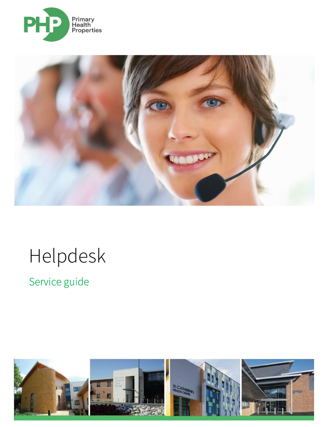



# Helpdesk

Service guide

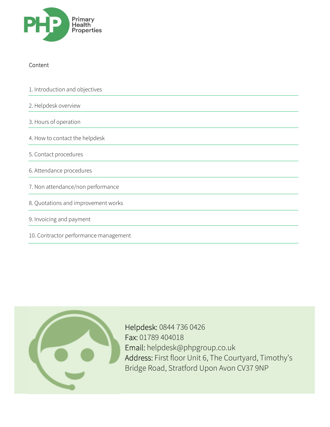

## Content

1. Introduction and objectives 2. Helpdesk overview

3. Hours of operation

4. How to contact the helpdesk

5. Contact procedures

6. Attendance procedures

7. Non attendance/non performance

8. Quotations and improvement works

9. Invoicing and payment

10. Contractor performance management



 Helpdesk: 0844 736 0426 Fax: 01789 404018 Email: helpdesk@phpgroup.co.uk Address: First floor Unit 6, The Courtyard, Timothy's Bridge Road, Stratford Upon Avon CV37 9NP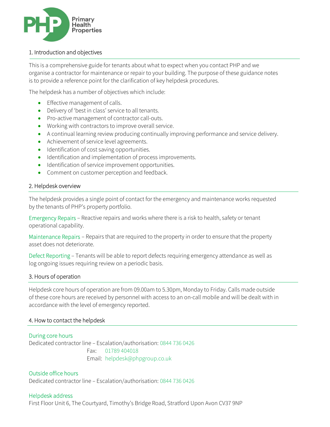

#### 1. Introduction and objectives

This is a comprehensive guide for tenants about what to expect when you contact PHP and we organise a contractor for maintenance or repair to your building. The purpose of these guidance notes is to provide a reference point for the clarification of key helpdesk procedures.

The helpdesk has a number of objectives which include:

- Effective management of calls.
- Delivery of 'best in class' service to all tenants.
- Pro-active management of contractor call-outs.
- Working with contractors to improve overall service.
- A continual learning review producing continually improving performance and service delivery.
- Achievement of service level agreements.
- Identification of cost saving opportunities.
- Identification and implementation of process improvements.
- Identification of service improvement opportunities.
- Comment on customer perception and feedback.

#### 2. Helpdesk overview

The helpdesk provides a single point of contact for the emergency and maintenance works requested by the tenants of PHP's property portfolio.

Emergency Repairs – Reactive repairs and works where there is a risk to health, safety or tenant operational capability.

Maintenance Repairs – Repairs that are required to the property in order to ensure that the property asset does not deteriorate.

Defect Reporting – Tenants will be able to report defects requiring emergency attendance as well as log ongoing issues requiring review on a periodic basis.

#### 3. Hours of operation

Helpdesk core hours of operation are from 09.00am to 5.30pm, Monday to Friday. Calls made outside of these core hours are received by personnel with access to an on-call mobile and will be dealt with in accordance with the level of emergency reported.

#### 4. How to contact the helpdesk

#### During core hours

Ξ

Dedicated contractor line – Escalation/authorisation: 0844 736 0426 Fax: 01789 404018 Email: helpdesk@phpgroup.co.uk

#### Outside office hours

Dedicated contractor line – Escalation/authorisation: 0844 736 0426

#### Helpdesk address

First Floor Unit 6, The Courtyard, Timothy's Bridge Road, Stratford Upon Avon CV37 9NP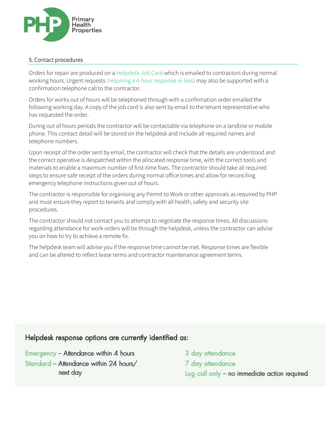

#### 5. Contact procedures

Orders for repair are produced on a Helpdesk Job Card which is emailed to contractors during normal working hours. Urgent requests (requiring a 4-hour response or less) may also be supported with a confirmation telephone call to the contractor.

Orders for works out of hours will be telephoned through with a confirmation order emailed the following working day. A copy of the job card is also sent by email to the tenant representative who has requested the order.

During out of hours periods the contractor will be contactable via telephone on a landline or mobile phone. This contact detail will be stored on the helpdesk and include all required names and telephone numbers.

Upon receipt of the order sent by email, the contractor will check that the details are understood and the correct operative is despatched within the allocated response time, with the correct tools and materials to enable a maximum number of first-time fixes. The contractor should take all required steps to ensure safe receipt of the orders during normal office times and allow for reconciling emergency telephone instructions given out of hours.

The contractor is responsible for organising any Permit to Work or other approvals as required by PHP and must ensure they report to tenants and comply with all health, safety and security site procedures.

The contractor should not contact you to attempt to negotiate the response times. All discussions regarding attendance for work orders will be through the helpdesk, unless the contractor can advise you on how to try to achieve a remote fix.

The helpdesk team will advise you if the response time cannot be met. Response times are flexible and can be altered to reflect lease terms and contractor maintenance agreement terms.

# Helpdesk response options are currently identified as:

Emergency - Attendance within 4 hours Standard - Attendance within 24 hours/ next day

3 day attendance 7 day attendance Log call only - no immediate action required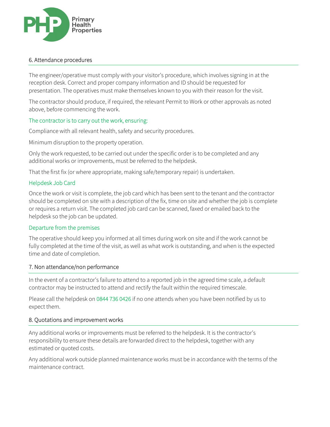

#### 6. Attendance procedures

Ξ

The engineer/operative must comply with your visitor's procedure, which involves signing in at the reception desk. Correct and proper company information and ID should be requested for presentation. The operatives must make themselves known to you with their reason for the visit.

The contractor should produce, if required, the relevant Permit to Work or other approvals as noted above, before commencing the work.

### The contractor is to carry out the work, ensuring:

Compliance with all relevant health, safety and security procedures.

Minimum disruption to the property operation.

Only the work requested, to be carried out under the specific order is to be completed and any additional works or improvements, must be referred to the helpdesk.

That the first fix (or where appropriate, making safe/temporary repair) is undertaken.

#### Helpdesk Job Card

Once the work or visit is complete, the job card which has been sent to the tenant and the contractor should be completed on site with a description of the fix, time on site and whether the job is complete or requires a return visit. The completed job card can be scanned, faxed or emailed back to the helpdesk so the job can be updated.

#### Departure from the premises

The operative should keep you informed at all times during work on site and if the work cannot be fully completed at the time of the visit, as well as what work is outstanding, and when is the expected time and date of completion.

#### 7. Non attendance/non performance

In the event of a contractor's failure to attend to a reported job in the agreed time scale, a default contractor may be instructed to attend and rectify the fault within the required timescale.

Please call the helpdesk on 0844 736 0426 if no one attends when you have been notified by us to expect them.

#### 8. Quotations and improvement works

Any additional works or improvements must be referred to the helpdesk. It is the contractor's responsibility to ensure these details are forwarded direct to the helpdesk, together with any estimated or quoted costs.

Any additional work outside planned maintenance works must be in accordance with the terms of the maintenance contract.